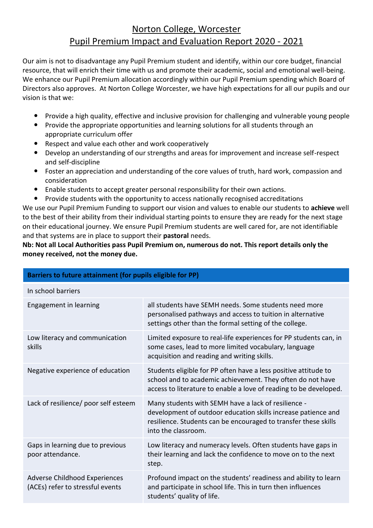## Norton College, Worcester Pupil Premium Impact and Evaluation Report 2020 - 2021

Our aim is not to disadvantage any Pupil Premium student and identify, within our core budget, financial resource, that will enrich their time with us and promote their academic, social and emotional well-being. We enhance our Pupil Premium allocation accordingly within our Pupil Premium spending which Board of Directors also approves. At Norton College Worcester, we have high expectations for all our pupils and our vision is that we:

- Provide a high quality, effective and inclusive provision for challenging and vulnerable young people
- Provide the appropriate opportunities and learning solutions for all students through an appropriate curriculum offer
- Respect and value each other and work cooperatively
- Develop an understanding of our strengths and areas for improvement and increase self-respect and self-discipline
- Foster an appreciation and understanding of the core values of truth, hard work, compassion and consideration
- Enable students to accept greater personal responsibility for their own actions.
- Provide students with the opportunity to access nationally recognised accreditations

We use our Pupil Premium Funding to support our vision and values to enable our students to **achieve** well to the best of their ability from their individual starting points to ensure they are ready for the next stage on their educational journey. We ensure Pupil Premium students are well cared for, are not identifiable and that systems are in place to support their **pastoral** needs.

**Nb: Not all Local Authorities pass Pupil Premium on, numerous do not. This report details only the money received, not the money due.**

| Barriers to future attainment (for pupils eligible for PP)        |                                                                                                                                                                                                                |  |  |
|-------------------------------------------------------------------|----------------------------------------------------------------------------------------------------------------------------------------------------------------------------------------------------------------|--|--|
| In school barriers                                                |                                                                                                                                                                                                                |  |  |
| Engagement in learning                                            | all students have SEMH needs. Some students need more<br>personalised pathways and access to tuition in alternative<br>settings other than the formal setting of the college.                                  |  |  |
| Low literacy and communication<br>skills                          | Limited exposure to real-life experiences for PP students can, in<br>some cases, lead to more limited vocabulary, language<br>acquisition and reading and writing skills.                                      |  |  |
| Negative experience of education                                  | Students eligible for PP often have a less positive attitude to<br>school and to academic achievement. They often do not have<br>access to literature to enable a love of reading to be developed.             |  |  |
| Lack of resilience/ poor self esteem                              | Many students with SEMH have a lack of resilience -<br>development of outdoor education skills increase patience and<br>resilience. Students can be encouraged to transfer these skills<br>into the classroom. |  |  |
| Gaps in learning due to previous<br>poor attendance.              | Low literacy and numeracy levels. Often students have gaps in<br>their learning and lack the confidence to move on to the next<br>step.                                                                        |  |  |
| Adverse Childhood Experiences<br>(ACEs) refer to stressful events | Profound impact on the students' readiness and ability to learn<br>and participate in school life. This in turn then influences<br>students' quality of life.                                                  |  |  |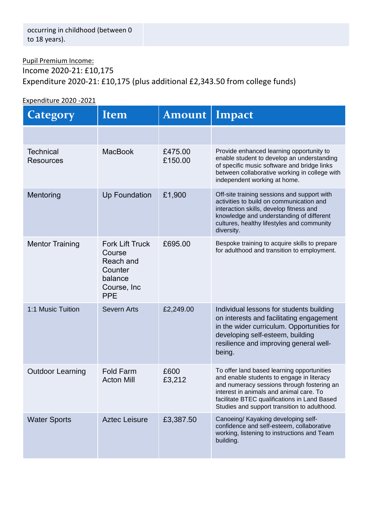## Pupil Premium Income: Income 2020-21: £10,175 Expenditure 2020-21: £10,175 (plus additional £2,343.50 from college funds)

## Expenditure 2020 -2021

| Category                             | Item                                                                                                     | <b>Amount</b>      | Impact                                                                                                                                                                                                                                                                           |
|--------------------------------------|----------------------------------------------------------------------------------------------------------|--------------------|----------------------------------------------------------------------------------------------------------------------------------------------------------------------------------------------------------------------------------------------------------------------------------|
|                                      |                                                                                                          |                    |                                                                                                                                                                                                                                                                                  |
| <b>Technical</b><br><b>Resources</b> | <b>MacBook</b>                                                                                           | £475.00<br>£150.00 | Provide enhanced learning opportunity to<br>enable student to develop an understanding<br>of specific music software and bridge links<br>between collaborative working in college with<br>independent working at home.                                                           |
| Mentoring                            | <b>Up Foundation</b>                                                                                     | £1,900             | Off-site training sessions and support with<br>activities to build on communication and<br>interaction skills, develop fitness and<br>knowledge and understanding of different<br>cultures, healthy lifestyles and community<br>diversity.                                       |
| <b>Mentor Training</b>               | <b>Fork Lift Truck</b><br>Course<br><b>Reach and</b><br>Counter<br>balance<br>Course, Inc.<br><b>PPE</b> | £695.00            | Bespoke training to acquire skills to prepare<br>for adulthood and transition to employment.                                                                                                                                                                                     |
| 1:1 Music Tuition                    | <b>Severn Arts</b>                                                                                       | £2,249.00          | Individual lessons for students building<br>on interests and facilitating engagement<br>in the wider curriculum. Opportunities for<br>developing self-esteem, building<br>resilience and improving general well-<br>being.                                                       |
| <b>Outdoor Learning</b>              | <b>Fold Farm</b><br><b>Acton Mill</b>                                                                    | £600<br>£3,212     | To offer land based learning opportunities<br>and enable students to engage in literacy<br>and numeracy sessions through fostering an<br>interest in animals and animal care. To<br>facilitate BTEC qualifications in Land Based<br>Studies and support transition to adulthood. |
| <b>Water Sports</b>                  | <b>Aztec Leisure</b>                                                                                     | £3,387.50          | Canoeing/ Kayaking developing self-<br>confidence and self-esteem, collaborative<br>working, listening to instructions and Team<br>building.                                                                                                                                     |